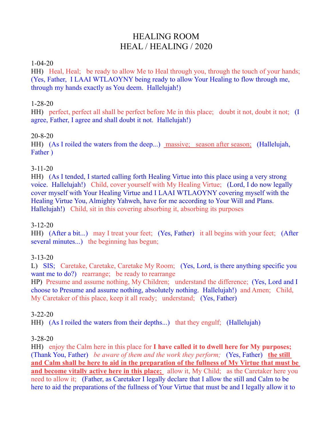# HEALING ROOM HEAL / HEALING / 2020

#### 1-04-20

HH) Heal, Heal; be ready to allow Me to Heal through you, through the touch of your hands; (Yes, Father, I LAAI WTLAOYNY being ready to allow Your Healing to flow through me, through my hands exactly as You deem. Hallelujah!)

### 1-28-20

HH) perfect, perfect all shall be perfect before Me in this place; doubt it not, doubt it not; (I agree, Father, I agree and shall doubt it not. Hallelujah!)

### 20-8-20

HH) (As I roiled the waters from the deep...) massive; season after season; (Hallelujah, Father )

### 3-11-20

HH) (As I tended, I started calling forth Healing Virtue into this place using a very strong voice. Hallelujah!) Child, cover yourself with My Healing Virtue; (Lord, I do now legally cover myself with Your Healing Virtue and I LAAI WTLAOYNY covering myself with the Healing Virtue You, Almighty Yahweh, have for me according to Your Will and Plans. Hallelujah!) Child, sit in this covering absorbing it, absorbing its purposes

#### 3-12-20

HH) (After a bit...) may I treat your feet; (Yes, Father) it all begins with your feet; (After several minutes...) the beginning has begun;

# 3-13-20

L) SIS; Caretake, Caretake, Caretake My Room; (Yes, Lord, is there anything specific you want me to do?) rearrange; be ready to rearrange

HP) Presume and assume nothing, My Children; understand the difference; (Yes, Lord and I choose to Presume and assume nothing, absolutely nothing. Hallelujah!) and Amen; Child, My Caretaker of this place, keep it all ready; understand; (Yes, Father)

#### 3-22-20

HH) (As I roiled the waters from their depths...) that they engulf; (Hallelujah)

# 3-28-20

HH) enjoy the Calm here in this place for **I have called it to dwell here for My purposes;**  (Thank You, Father) *be aware of them and the work they perform;* (Yes, Father) **the still and Calm shall be here to aid in the preparation of the fullness of My Virtue that must be and become vitally active here in this place;** allow it, My Child; as the Caretaker here you need to allow it; (Father, as Caretaker I legally declare that I allow the still and Calm to be here to aid the preparations of the fullness of Your Virtue that must be and I legally allow it to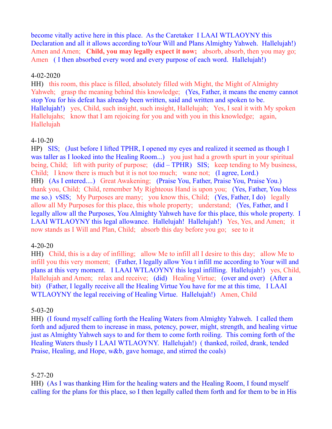become vitally active here in this place. As the Caretaker I LAAI WTLAOYNY this Declaration and all it allows according to Your Will and Plans Almighty Yahweh. Hallelujah!) Amen and Amen; **Child, you may legally expect it now;** absorb, absorb, then you may go; Amen (I then absorbed every word and every purpose of each word. Hallelujah!)

#### 4-02-2020

HH) this room, this place is filled, absolutely filled with Might, the Might of Almighty Yahweh; grasp the meaning behind this knowledge; (Yes, Father, it means the enemy cannot stop You for his defeat has already been written, said and written and spoken to be. Hallelujah!) yes, Child, such insight, such insight, Hallelujah; Yes, I seal it with My spoken Hallelujahs; know that I am rejoicing for you and with you in this knowledge; again, Hallelujah

#### 4-10-20

HP) SIS; (Just before I lifted TPHR, I opened my eyes and realized it seemed as though I was taller as I looked into the Healing Room...) you just had a growth spurt in your spiritual being, Child; lift with purity of purpose; (did – TPHR) SIS; keep tending to My business, Child; I know there is much but it is not too much; wane not; (I agree, Lord.) HH) (As I entered....) Great Awakening; (Praise You, Father, Praise You, Praise You.) thank you, Child; Child, remember My Righteous Hand is upon you; (Yes, Father, You bless me so.) vSIS; My Purposes are many; you know this, Child; (Yes, Father, I do) legally allow all My Purposes for this place, this whole property; understand; (Yes, Father, and I legally allow all the Purposes, You Almighty Yahweh have for this place, this whole property. I LAAI WTLAOYNY this legal allowance. Hallelujah! Hallelujah!) Yes, Yes, and Amen; it now stands as I Will and Plan, Child; absorb this day before you go; see to it

#### 4-20-20

HH) Child, this is a day of infilling; allow Me to infill all I desire to this day; allow Me to infill you this very moment; (Father, I legally allow You t infill me according to Your will and plans at this very moment. I LAAI WTLAOYNY this legal infilling. Hallelujah!) yes, Child, Hallelujah and Amen; relax and receive; (did) Healing Virtue; (over and over) (After a bit) (Father, I legally receive all the Healing Virtue You have for me at this time, I LAAI WTLAOYNY the legal receiving of Healing Virtue. Hallelujah!) Amen, Child

#### 5-03-20

HH) (I found myself calling forth the Healing Waters from Almighty Yahweh. I called them forth and adjured them to increase in mass, potency, power, might, strength, and healing virtue just as Almighty Yahweh says to and for them to come forth roiling. This coming forth of the Healing Waters thusly I LAAI WTLAOYNY. Hallelujah!) ( thanked, roiled, drank, tended Praise, Healing, and Hope, w&b, gave homage, and stirred the coals)

#### 5-27-20

HH) (As I was thanking Him for the healing waters and the Healing Room, I found myself calling for the plans for this place, so I then legally called them forth and for them to be in His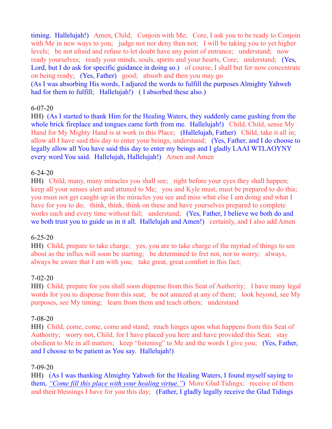timing. Hallelujah!) Amen, Child; Conjoin with Me; Core, I ask you to be ready to Conjoin with Me in new ways to you; judge not nor deny then not; I will be taking you to yet higher levels; be not afraid and refuse to let doubt have any point of entrance; understand; now ready yourselves; ready your minds, souls, spirits and your hearts, Core; understand; (Yes, Lord, but I do ask for specific guidance in doing so.) of course, I shall but for now concentrate on being ready; (Yes, Father) good; absorb and then you may go (As I was absorbing His words, I adjured the words to fulfill the purposes Almighty Yahweh had for them to fulfill; Hallelujah!) (I absorbed these also.)

### 6-07-20

HH) (As I started to thank Him for the Healing Waters, they suddenly came gushing from the whole brick fireplace and tongues came forth from me. Hallelujah!) Child, Child, sense My Hand for My Mighty Hand is at work in this Place; (Hallelujah, Father) Child, take it all in; allow all I have said this day to enter your beings, understand; (Yes, Father, and I do choose to legally allow all You have said this day to enter my beings and I gladly LAAI WTLAOYNY every word You said. Hallelujah, Hallelujah!) Amen and Amen

### 6-24-20

HH) Child, many, many miracles you shall see; right before your eyes they shall happen; keep all your senses alert and attuned to Me; you and Kyle must, must be prepared to do this; you must not get caught up in the miracles you see and miss what else I am doing and what I have for you to do; think, think, think on these and have yourselves prepared to complete works each and every time without fail; understand; (Yes, Father, I believe we both do and we both trust you to guide us in it all. Hallelujah and Amen!) certainly, and I also add Amen

# 6-25-20

HH) Child, prepare to take charge; yes, you are to take charge of the myriad of things to see about as the influx will soon be starting; be determined to fret not, nor to worry; always, always be aware that I am with you; take great, great comfort in this fact;

#### 7-02-20

HH) Child, prepare for you shall soon dispense from this Seat of Authority; I have many legal words for you to dispense from this seat; be not amazed at any of them; look beyond, see My purposes, see My timing; learn from them and teach others; understand

#### 7-08-20

HH) Child, come, come, come and stand; much hinges upon what happens from this Seat of Authority; worry not, Child, for I have placed you here and have provided this Seat; stay obedient to Me in all matters; keep "listening" to Me and the words I give you; (Yes, Father, and I choose to be patient as You say. Hallelujah!)

# 7-09-20

HH) (As I was thanking Almighty Yahweh for the Healing Waters, I found myself saying to them, *"Come fill this place with your healing virtue."*) More Glad Tidings; receive of them and their blessings I have for you this day; (Father, I gladly legally receive the Glad Tidings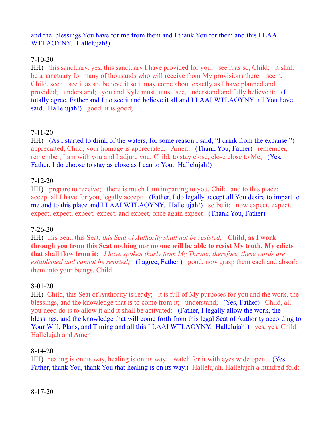### and the blessings You have for me from them and I thank You for them and this I LAAI WTLAOYNY. Hallelujah!)

# 7-10-20

HH) this sanctuary, yes, this sanctuary I have provided for you; see it as so, Child; it shall be a sanctuary for many of thousands who will receive from My provisions there; see it, Child, see it, see it as so, believe it so it may come about exactly as I have planned and provided; understand; you and Kyle must, must, see, understand and fully believe it; (I totally agree, Father and I do see it and believe it all and I LAAI WTLAOYNY all You have said. Hallelujah!) good, it is good;

# 7-11-20

HH) (As I started to drink of the waters, for some reason I said, "I drink from the expanse.") appreciated, Child, your homage is appreciated; Amen; (Thank You, Father) remember, remember, I am with you and I adjure you, Child, to stay close, close close to Me; (Yes, Father, I do choose to stay as close as I can to You. Hallelujah!)

# 7-12-20

HH) prepare to receive; there is much I am imparting to you, Child, and to this place; accept all I have for you, legally accept; (Father, I do legally accept all You desire to impart to me and to this place and I LAAI WTLAOYNY. Hallelujah!) so be it; now expect, expect, expect, expect, expect, expect, and expect, once again expect (Thank You, Father)

# 7-26-20

HH) this Seat, this Seat, *this Seat of Authority shall not be resisted;* **Child, as I work through you from this Seat nothing nor no one will be able to resist My truth, My edicts that shall flow from it;** *I have spoken thusly from My Throne, therefore, these words are established and cannot be resisted;* (I agree, Father.) good, now grasp them each and absorb them into your beings, Child

# 8-01-20

HH) Child, this Seat of Authority is ready; it is full of My purposes for you and the work, the blessings, and the knowledge that is to come from it; understand; (Yes, Father) Child, all you need do is to allow it and it shall be activated; (Father, I legally allow the work, the blessings, and the knowledge that will come forth from this legal Seat of Authority according to Your Will, Plans, and Timing and all this I LAAI WTLAOYNY. Hallelujah!) yes, yes, Child, Hallelujah and Amen!

# 8-14-20

HH) healing is on its way, healing is on its way; watch for it with eyes wide open; (Yes, Father, thank You, thank You that healing is on its way.) Hallelujah, Hallelujah a hundred fold;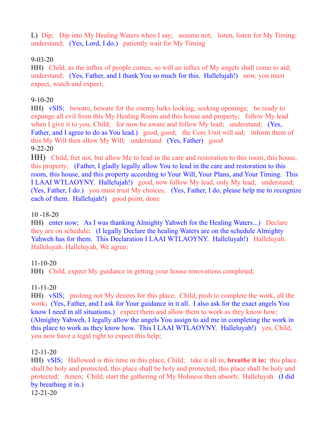L) Dip; Dip into My Healing Waters when I say; assume not; listen, listen for My Timing; understand; (Yes, Lord, I do.) patiently wait for My Timing

# 9-03-20

HH) Child, as the influx of people comes, so will an influx of My angels shall come to aid; understand; (Yes, Father, and I thank You so much for this. Hallelujah!) now, you must expect, watch and expect;

### 9-10-20

HH) vSIS; beware, beware for the enemy lurks looking, seeking openings; be ready to expunge all evil from this My Healing Room and this house and property; follow My lead when I give it to you, Child; for now be aware and follow My lead; understand; (Yes, Father, and I agree to do as You lead.) good, good; the Core Unit will aid; inform them of this My Will then allow My Will; understand (Yes, Father) good 9-22-20

HH) Child, fret not, but allow Me to lead in the care and restoration to this room, this house, this property; (Father, I gladly legally allow You to lead in the care and restoration to this room, this house, and this property according to Your Will, Your Plans, and Your Timing. This I LAAI WTLAOYNY. Hallelujah!) good, now follow My lead, only My lead; understand; (Yes, Father, I do.) you must trust My choices; (Yes, Father, I do, please help me to recognize each of them. Hallelujah!) good point, done

### 10 -18-20

HH) enter now; As I was thanking Almighty Yahweh for the Healing Waters...) Declare they are on schedule; (I legally Declare the healing Waters are on the schedule Almighty Yahweh has for them. This Declaration I LAAI WTLAOYNY. Halleluyah!) Halleluyah. Halleluyah. Halleluyah, We agree;

#### 11-10-20

HH) Child, expect My guidance in getting your house renovations completed;

#### 11-11-20

HH) vSIS; prolong not My desires for this place; Child, push to complete the work, all the work; (Yes, Father, and I ask for Your guidance in it all. I also ask for the exact angels You know I need in all situations.) expect them and allow them to work as they know how; (Almighty Yahweh, I legally allow the angels You assign to aid me in completing the work in this place to work as they know how. This I LAAI WTLAOYNY. Halleluyah!) yes, Child, you now have a legal right to expect this help;

#### 12-11-20

HH) vSIS; Hallowed is this time in this place, Child; take it all in, **breathe it in;** this place shall be holy and protected, this place shall be holy and protected, this place shall be holy and protected; Amen; Child, start the gathering of My Holiness then absorb; Halleluyah (I did by breathing it in.) 12-21-20